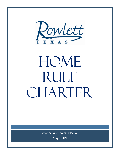

# HOME RULE CHARTER

**Charter Amendment Election**

**May 1, 2021**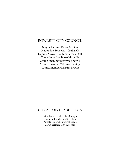# ROWLETT CITY COUNCIL

Mayor Tammy Dana-Bashian Mayor Pro Tem Matt Grubisich Deputy Mayor Pro Tem Pamela Bell Councilmember Blake Margolis Councilmember Brownie Sherrill Councilmember Whitney Laning Councilmember Martha Brown

# CITY APPOINTED OFFICIALS

Brian Funderburk, City Manager Laura Hallmark, City Secretary Pamela Liston, Municipal Judge David Berman, City Attorney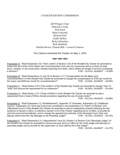#### CHARTER REVIEW COMMISSION

Jeff Winget, Chair Deborah Crosby Erik Ernst Brian Galuardi Richard Kull Kellie McKee Becky Sebastian Rick Sheffield Martha Brown, Pamela Bell – Council Liaisons

The Citizens Amended the Charter on May 1, 2021

#### $C\&S\&S\&S\&S\&S\&S$

Proposition A: *"Shall Subsection (3) ("Term Limits") of Section 3.02 of the Rowlett City Charter be amended to extend the term limits of the Mayor and Councilmembers from two (2) consecutive terms to three (3) total terms, whether or not consecutive, thereby imposing term limits, and to define the length of service constituting a full term?"* FOR – 25.41%, AGAINST – 74.59%

Proposition B: *"Shall Subsections (1) and (2) of Section 3.11 ("Compensation for the Mayor and Councilmembers") of the Rowlett City Charter be amended to change the compensation to \$750 per month for the mayor and \$450 per month for councilmembers?"* FOR – 43.94%, AGAINST – 56.06%

Proposition C: *"Shall Section 5.03 ("City Auditor") of the Rowlett City Charter be amended to change "may" to "shall" and remove the requirement for an ordinance?"* FOR – 45.56%, AGAINST – 54.44%

Proposition D: *"Shall Section 3.21 ("Code of Ethics") of the Rowlett City Charter be amended to add a requirement that a Code of Ethics include provisions regarding the use of social media?"* FOR – 69.12%, AGAINST – 30.88%

Proposition E: *"Shall Subsection (1) ("Establishment"), Appendix "E" Endnotes, Subsection (2) ("Additional Courts"), Subsection (3) ("Civil and Concurrent Jurisdiction") and Subsection (7) ("Clerk") of Section 2.03 ("Municipal Court") of the Rowlett City Charter be amended to add an explanatory endnote following the first sentence of Section 2.03(1), to reference Section 5.04 of the Charter regarding terms of office, to provide for civil and concurrent jurisdiction, and to change the appointment authority of the Municipal Court Clerk and Deputy Clerks from the City Manager to the Presiding Judge?"* FOR – 50.25%, AGAINST – 49.75%

Proposition F: *"Shall Subsections (1) ("Appointment") and (2) ("Duties") of Section 5.04 ("Municipal Judge") of the Rowlett City Charter be amended to remove two-year terms of office for the Chief Judge and alternate or associate judges and to provide for the supervision of court staff by the Chief Judge?"* FOR – 38.53%, AGAINST – 61.47%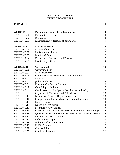## **HOME RULE CHARTER TABLE OF CONTENTS**

## **PREAMBLE** 4

| 4<br>$\overline{4}$<br>$\overline{4}$<br>5<br>5<br>5<br>6   |
|-------------------------------------------------------------|
|                                                             |
|                                                             |
|                                                             |
|                                                             |
|                                                             |
|                                                             |
|                                                             |
| 6                                                           |
| 7                                                           |
| 9                                                           |
| 10                                                          |
| 10                                                          |
| 10                                                          |
| 10                                                          |
| 11                                                          |
| 12                                                          |
| 12                                                          |
| 12                                                          |
| 12                                                          |
| 13                                                          |
| 13                                                          |
| 14                                                          |
| 14                                                          |
| 14                                                          |
| 15                                                          |
| 15                                                          |
| 15                                                          |
| 15                                                          |
| 16                                                          |
| 16                                                          |
| 16                                                          |
| 17                                                          |
| 17                                                          |
| Quorum of City Council and Minutes of City Council Meetings |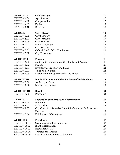| <b>ARTICLE IV</b>    | <b>City Manager</b>                                                  | 17 |
|----------------------|----------------------------------------------------------------------|----|
| <b>SECTION 4.01</b>  | Appointment                                                          | 17 |
| <b>SECTION 4.02</b>  | Compensation                                                         | 17 |
| <b>SECTION 4.03</b>  | Duties                                                               | 18 |
| <b>SECTION 4.04</b>  | Removal                                                              | 18 |
| <b>ARTICLE V</b>     | <b>City Officers</b>                                                 | 18 |
| <b>SECTION 5.01</b>  | <b>City Secretary</b>                                                | 18 |
| <b>SECTION 5.02</b>  | <b>City Treasurer</b>                                                | 19 |
| <b>SECTION 5.03</b>  | City Auditor                                                         | 19 |
| <b>SECTION 5.04</b>  | Municipal Judge                                                      | 19 |
| <b>SECTION 5.05</b>  | City Attorney                                                        | 20 |
| <b>SECTION 5.06</b>  | Official Bond of City Employees                                      | 20 |
| <b>SECTION 5.07</b>  | <b>City Prosecutor</b>                                               | 21 |
| <b>ARTICLE VI</b>    | Financial                                                            | 21 |
| <b>SECTION 6.01</b>  | Audit and Examination of City Books and Accounts                     | 21 |
| <b>SECTION 6.02</b>  | <b>Budget</b>                                                        | 21 |
| <b>SECTION 6.03</b>  | Inventory of Property and Liens                                      | 22 |
| <b>SECTION 6.04</b>  | <b>Taxes and Taxation</b>                                            | 22 |
| <b>SECTION 6.05</b>  | Designation of Depository for City Funds                             | 23 |
| <b>ARTICLE VII</b>   | Bonds, Warrants and Other Evidence of Indebtedness                   | 23 |
| <b>SECTION 7.01</b>  | Authority to Issue                                                   | 23 |
| <b>SECTION 7.02</b>  | Manner of Issuance                                                   | 23 |
| <b>ARTICLE VIII</b>  | <b>Recall</b>                                                        | 23 |
| <b>SECTION 8.01</b>  | Procedure                                                            | 23 |
| <b>ARTICLE IX</b>    | Legislation by Initiative and Referendum                             | 25 |
| <b>SECTION 9.01</b>  | Initiative                                                           | 25 |
| <b>SECTION 9.02</b>  | Referendum                                                           | 26 |
| <b>SECTION 9.03</b>  | City Council to Repeal or Submit Referendum Ordinance to<br>Election | 26 |
| <b>SECTION 9.04</b>  | <b>Publication of Ordinances</b>                                     | 26 |
| <b>ARTICLE X</b>     | <b>Franchises</b>                                                    | 27 |
| <b>SECTION 10.01</b> | <b>Ordinance Granting Franchise</b>                                  | 27 |
| <b>SECTION 10.02</b> | <b>Right of Regulation</b>                                           | 27 |
| <b>SECTION 10.03</b> | <b>Regulation of Rates</b>                                           | 28 |
| <b>SECTION 10.04</b> | <b>Transfer of Franchise</b>                                         | 28 |
| <b>SECTION 10.05</b> | Franchise Value Not to be Allowed                                    | 28 |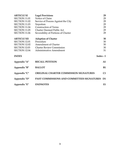| <b>ARTICLE XI</b>                                           | <b>Legal Provisions</b>                           | 29             |  |
|-------------------------------------------------------------|---------------------------------------------------|----------------|--|
| <b>SECTION 11.01</b>                                        | Notice of Claim                                   | 29             |  |
| <b>SECTION 11.02</b><br>Service of Process Against the City |                                                   |                |  |
| <b>SECTION 11.03</b><br>Nepotism                            |                                                   |                |  |
| <b>SECTION 11.04</b>                                        | <b>Construction of Terms</b>                      | 29             |  |
| <b>SECTION 11.05</b>                                        | <b>Charter Deemed Public Act</b>                  | 29             |  |
| <b>SECTION 11.06</b>                                        | Severability of Portions of Charter               | 29             |  |
| <b>ARTICLE XII</b>                                          | <b>Adoption of Charter</b>                        | 30             |  |
| <b>SECTION 12.01</b>                                        | Procedure                                         | 30             |  |
| <b>SECTION 12.02</b>                                        | <b>Amendment of Charter</b>                       | 30             |  |
| <b>SECTION 12.03</b>                                        | <b>Charter Review Commission</b>                  | 30             |  |
| <b>SECTION 12.04</b>                                        | <b>Administrative Amendment</b>                   | 31             |  |
| <b>INDEX</b>                                                |                                                   | Index - 1      |  |
| Appendix "A"                                                | <b>RECALL PETITION</b>                            | $\mathbf{A1}$  |  |
| Appendix "B"                                                | <b>BALLOT</b>                                     | <b>B1</b>      |  |
| Appendix "C"                                                | <b>ORIGINAL CHARTER COMMISSION SIGNATURES</b>     | C1             |  |
| Appendix "D"                                                | <b>PAST COMMISSIONS AND COMMITTEES SIGNATURES</b> | D <sub>1</sub> |  |
| Appendix "E"                                                | <b>ENDNOTES</b>                                   | E1             |  |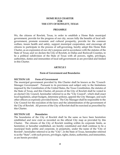#### **HOME RULE CHARTER FOR THE CITY OF ROWLETT, TEXAS**

#### **PREAMBLE**

We, the citizens of Rowlett, Texas, in order to establish a Home Rule municipal government, provide for the progress of our city, secure fully the benefits of local selfgovernment, promote economic and cultural prosperity, provide for the common welfare, insure health and safety, support municipal cooperation, and encourage all citizens to participate in the process of self-governing, hereby adopt this Home Rule Charter, as an expression of our city's purpose and in accordance with the statutes of the State of Texas; and we declare the City of Rowlett, in Dallas and Rockwall Counties, to be a political subdivision of the State of Texas with all powers, rights, privileges, authorities, duties and immunities of local self-government as are provided and limited in this Charter.

#### **ARTICLE I**

#### **Form of Government and Boundaries**

#### **SECTION 1.01 Form of Government**

The municipal government provided by this Charter shall be known as the "Council-Manager Government". Pursuant to its provisions and subject only to the limitations imposed by the Constitution of the United States, the Texas Constitution, the statutes of the State of Texas, and this Charter, all powers of the City of Rowlett shall be vested in an elected City Council, hereinafter referred to as the "City Council", which shall enact local legislation, adopt budgets, determine policies, appoint the City Manager, and such other officers as expressly provided herein. The City Manager shall be responsible to the City Council for the execution of the laws and the administration of the government of the City of Rowlett. All powers of the City of Rowlett shall be exercised as prescribed by this Charter.

#### **SECTION 1.02 Boundaries**

The boundaries of the City of Rowlett shall be the same as have been heretofore established and now exist as recorded on the official City map as provided by this Charter. The citizens of the City of Rowlett residing within its corporate limits, as heretofore or hereafter established, are hereby constituted and shall continue to be a municipal body politic and corporate, in perpetuity, under the name of the "City of Rowlett", hereinafter referred to as the "City", in the State of Texas, hereinafter referred to as the "State", with such powers, privileges, rights, duties, authorities, and immunities, as are herein provided.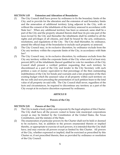#### **SECTION 1.03 Extension and Alteration of Boundaries**

- (1) The City Council shall have power by ordinance to fix the boundary limits of the City; and to provide for the alteration and the extension of said boundary limits and the annexation of additional territory lying adjacent to the City, with or without the consent of the inhabitants of the territory annexed in accordance with State law<sup>1</sup>. When any additional territory has been so annexed, same shall be a part of the City and the property situated therein shall bear its pro rata part of the taxes levied by the City and thereafter the inhabitants shall be entitled to all the rights and privileges of all citizens, and shall be bound by the acts, ordinances, resolutions, and regulations of the City. The City shall thereafter, by ordinance, amend the official map of the boundaries to include such property so annexed.
- (2) The City Council may, in its exclusive discretion, by ordinance exclude from the City any territory within the corporate limits of the City, in accordance with State  $law<sup>2</sup>$ .
- (3) The City Council may, in its exclusive discretion, by ordinance exclude from the City any territory within the corporate limits of the City when and if at least sixty percent (60%) of the inhabitants thereof qualified to vote for members of the City Council shall present a verified petition requesting that such territory be discontinued as a part of the City and tender to the City Secretary with such petition a sum of money equivalent to that percentage of the then outstanding indebtedness of the City for bonds and warrants and a fair proportion of the then existing budget which the assessed value of all property within such territory on the tax rolls and next preceding the presentation of such petition bears to the total value of all property on said rolls. The City Council shall never, regardless of the facts and circumstances, be required to discontinue any territory as a part of the City except at its exclusive discretion expressed by ordinance.

#### **ARTICLE II**

#### **Powers of the City**

#### **SECTION 2.01 Powers of the City**

- (1) The City is made a body politic and corporate by the legal adoption of this Charter. The City shall have all the powers vested in home rule municipal corporations except as may be limited by the Constitution of the United States, the Texas Constitution, and the statutes of the State.
- (2) The enumeration of particular powers by the Charter shall not be held or deemed to be exclusive, but, in addition to the powers enumerated therein or implied thereby, or appropriate to exercise of such powers, it is intended that the City shall have, and may exercise all powers except as limited by this Charter. All powers of the City, whether expressed or implied, shall be exercised as prescribed by this Charter or, if not prescribed therein, then as provided by ordinance or resolution of the City Council.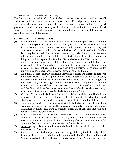## **SECTION 2.02 Legislative Authority**

The City by and through its City Council shall have the power to enact and enforce all ordinances and resolutions necessary to protect health, life, and property; and to prevent and summarily abate and remove all nuisances; and preserve and enforce good government and order and security of the City and its inhabitants; and to enact and enforce all ordinances and resolutions on any and all subjects which shall be consistent with the provisions of this Charter.

## **SECTION 2.03 Municipal Court**

- (1) Establishment The City shall create and establish a municipal court to be known as the Municipal Court of the City of Rowlett, Texas.<sup>3</sup> The Municipal Court shall have jurisdiction of all criminal cases arising under the ordinances of the City and concurrent jurisdiction with the Justice of the Peace of the precinct of which the City is or may be situated of all criminal cases arising under State law<sup>4</sup>, where such offenses are committed either within the territorial limits of the City or in an area lying outside the corporate limits of the City in which area the City is authorized to exercise its police powers as set forth but not necessarily limited to the areas provided by State law<sup>5</sup> and where the punishment is by fine only and the maximum of said fine does not exceed the maximum fine authorized to be imposed by municipal courts under the State law<sup>6</sup> or any amendments thereto.
- (2) Additional Courts The City shall have the power to create and establish additional municipal courts, and to appoint one or more judges of each municipal court, whether one or more, each of whom shall be a magistrate and each judge of a municipal court, now existing or hereinafter created, shall be appointed by the City Council, for a term as defined in Section 5.04 ("Municipal Judge") of this Charter; and the City shall have the power to create and establish additional courts as may from time to time be authorized by the legislature of the State.
- (3) Civil and Concurrent Jurisdiction The Municipal Court shall have civil jurisdiction as provided by State law<sup>7</sup> or ordinance of the City Council. The Municipal Court shall have concurrent jurisdiction as may be established pursuant to State law.
- (4) Take-Line Jurisdiction The Municipal Court shall also have jurisdiction, both separately and jointly, with any other governmental entity over any such offense committed within the area lying between the water line of Lake Ray Hubbard and the take-line<sup>8</sup> of the City of Dallas.
- (5) Rules All complaints, prosecutions, the service of process, commitment of those convicted of offenses, the collection and payment of fines, the attendance and service of witnesses and juries, bail and the taking of bonds, and punishment for contempt shall be governed by the laws of the State of Texas.
- (6) Appeals Appeals from convictions in the Municipal Court shall be governed by the laws of the State of Texas.
- (7) Clerk The Clerk of Municipal Court shall be appointed by the Chief Judge of the Municipal Court. Deputy Clerks shall be appointed by the Chief Judge or the Court Clerk as directed by the Chief Judge. The Clerk and Deputy Clerks shall have the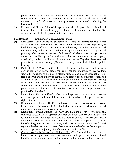power to administer oaths and affidavits, make certificates, affix the seal of the Municipal Court thereto, and generally do and perform any and all acts usual and necessary by clerks of courts in issuing processes of courts and conducting the business thereof.

(8) Expense and Fines **–** All special expense and fines imposed by the Municipal Court(s) shall be paid into the City general fund for the use and benefit of the City, as may be consistent with present and future laws.

## **SECTION 2.04 Enumerated Governmental Powers**

- (1) Real Estate The City has full authority as a Home Rule municipal corporation and as such it has authority to acquire and own real estate in fee simple title, or held by lease, sufferance, easement or otherwise, all public buildings and improvements, and structure or whatever type and character, and any and all property, whether real or personal, of whatever kind, character or description now owned or controlled by the City shall vest in, inure to, remain and be the property of said City under this Charter. In the event that the City shall lease any real property in excess of twenty (20) years, the City Council shall hold a public hearing.
- (2) Public Rights-Of-Way The City shall have the power to lay out, establish, open, alter, widen, lower, extend, grade, construct, abandon, and improve streets, alleys, sidewalks, squares, parks, public places, bridges, and public thoroughfares or rights-of-way; and to otherwise regulate and control the use thereof for any and all public purposes all obstructions, telegraph, telephone or other poles, carrying electric wires or signs, and all showcases and encroachments of every nature and character upon any said street, right-of-way and sidewalk, and to vacate and close public ways; and the City shall have the power to make any improvements as provided by State law9.
- (3) Regulation of Vehicles  $-$  The City shall have the power by ordinance or otherwise to license, operate, and control the operation of any vehicle using public streets or rights-of-way.
- (4) Regulation of Railroads The City shall have the power by ordinance or otherwise to direct and control, within the City limits, the speed of engines, locomotives, and motor cars operating on railroad tracks.
- (5) Regulation of Public Utilities The City shall have the power to buy, own, sell, construct, lease, maintain, operate, and regulate public services and utilities; and to manufacture, distribute, and sell the output of such services and utility operations. The City shall have such regulatory and other powers as may or hereafter be granted under State law<sup>10</sup>; and, by ordinance, to determine, fix, and regulate the charges, fares or rates of compensation to be charged by any person, firm or corporation enjoying a franchise for utilities in the City.
- (6) Operation of Public Services or Utilities by City The City shall have the power to build, construct, purchase, own, lease, maintain, and operate, within or without the City limits, light and power systems, water systems, sewer systems or sanitary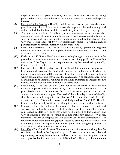disposal, natural gas, parks drainage, and any other public service or utility; power to borrow and encumber such system or systems, as deemed in the public interest.

- (7) Purchase Utility Services The City shall have the power to purchase electricity, gas, oil or any other article or service essential to protect the health, safety, and welfare of its inhabitants on such terms as the City Council may deem proper.
- $(8)$  Transportation Facilities The City may acquire, maintain, operate and regulate any, and all modes of transportation facilities or services; and, use public funds for such purposes, and issue such debt or funds as permitted by this Charter. The City must secure approval by voter referendum before establishing and/or participating in an air transportation facility of any kind.
- (9) Parks and Recreation The City may acquire, maintain, operate, and regulate within its exclusive control all City parks and recreation facilities whether within or without the City limits.
- (10) Underground Utilities The City may require the placing under the surface of the ground all wires or any above ground construction of any public utilities within any limits of the City under such regulation as may be prescribed by the City Council from time to time.
- (11) Fire Prevention The City shall provide for the establishment and designation of fire limits and prescribe the kind and character of buildings or structures or improvements to be erected therein; provide for the erection of fireproof buildings within certain limits; and provide for the condemnation of dangerous structures of buildings or dilapidated buildings or buildings calculated to increase the fire hazard, and the manner of their removal or destruction.
- (12) Public Safety The City shall have the power by ordinance to establish and maintain a police and fire department(s) by whatever name known and to prescribe the duties of the members of each such department(s) and regulate their conduct and their salary ranges. The head of the police department of the City shall be known and designated as "Chief of Police"; and the head of the fire department of the City shall be known and designated as "Fire Chief". The City Council shall provide by ordinance staff requirements for each such department.
- (13) Contracts The City shall have the power to enter into contracts for goods and services. Such authority is subject to the limitation regarding competitive bidding as provided by State law<sup>11</sup> or as may otherwise be limited by this Charter. The City or anyone acting on its behalf shall not make any contract for goods, materials, services or supplies for the current use of any department of the municipality for more than one (1) year, except as provided by State law<sup>12</sup>. The City hereby adopts the requirements and exceptions concerning the provisions of State law<sup>13</sup> regarding goods and acquisition.
- (14) Land Use The City shall have full power and authority to zone and regulate the subdivision of land in the City and to pass all necessary ordinances, rules and regulations governing the same under and by virtue of the authority given to cities and legislative bodies in accordance with State law<sup>14</sup>. The City will maintain an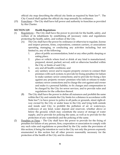official city map describing the official city limits as required by State law15. The City Council shall update the official city map annually by ordinance.

(15) Franchises – The City shall have full power and authority to franchise as provided by this Charter.

## **SECTION 2.05 Health Regulations**

- (1) Regulations The City shall have the power to provide for the health, safety, and welfare of its inhabitants by establishing all necessary rules and regulations protecting the health, safety, and welfare of the City.
	- (A) The City shall have the power by ordinance or otherwise to regulate, license and inspect persons, firms, corporations, common carriers, or associations operating, managing, or conducting any activities including, but not limited to, any of the following:
		- 1. place of public accommodation, hotel or any other public sleeping or eating place;
		- 2. place or vehicle where food or drink of any kind is manufactured, prepared, stored, packed, served, sold or otherwise handled within the City or limits of said City;
		- 3. any and all health conditions; and
		- 4. any sanitary sewer and to require property owners to connect their premises with such system; to provide for fixing penalties for failure to make sanitary sewer connections; and to provide for fixing a lien against any property owners' premises who fails or refuses to make sanitary sewer connections and to charge the cost against said owner and make it a personal liability; to fix charges and compensation to be charged by the City for sewer services, and to provide rules and regulations for the collection thereof.
	- (B) The City shall have the power to define all nuisances and prohibit the same within the City and outside the City limits for a distance in accordance with State law<sup>16</sup>; to have power to police in all parks or grounds, street right-ofway owned by the City or under lease to the City and lying both outside and inside said City; to prohibit the pollution of air or waterways, walkways of any kind, water deposit and reservoir, whether above or below the ground, which may constitute the source of storage of water supply, and to provide for policing the same, as well as to provide for the protection of any watersheds and the policing of the same.
- (2) Penalties or Fines The City shall have the power to provide for the fixing of penalties for failure of any person, firm, corporation or association to comply with any such rules and regulations so prescribed by the City under the provisions of this section; it being the intention to vest in the City not only the powers expressly enumerated in this section but all other powers reasonably necessary for the protection of the health of the City and its citizens.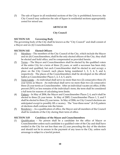(3) The sale of liquor in all residential sections of the City is prohibited; however, the City Council may authorize the sale of liquor in residential sections appropriately zoned for mixed use.

# **ARTICLE III**

# **City Council**

# **SECTION 3.01 Governing Body**

The governing body of the City shall be known as the "City Council" and shall consist of a Mayor and six (6) Councilmembers.

# **SECTION 3.02 Elected Officers**

- (1) Members The members of the City Council of the City, which include the Mayor and six (6) Councilmembers, shall be the only elected officers of the City, they shall be elected and hold office, and be compensated as provided herein.
- (2) Terms The Mayor and Councilmembers shall be elected by the qualified voters of the entire City for a term of three (3) years, or until a successor has been duly elected and qualified, but each Councilmember shall be elected to and occupy a place on the City Council, such places being numbered 1, 2, 3, 4, 5, and 6, respectively. The places of the Councilmembers shall be developed on the official ballot as Councilmember Places 1, 2, 3, 4, 5, and 6.
- (3) Term Limits An individual shall serve no more than two  $(2)$  consecutive three  $(3)$ year terms as Mayor. An individual shall serve no more than two (2) consecutive three (3) year terms as Councilmember. After an individual vacates an office, if fifty percent (50%) or less remains of the individual's term, the term shall be considered a full term for reasons of calculating term limits.
- (4) Pattern In May of 2004, the Mayor and Councilmember Places 2, 4, and 6 shall be elected to three (3) year terms. In May of 2005, Councilmember Places 1, 3, and 5 shall be elected to three (3) year terms. In May of 2006, no City Council elections are anticipated except to possibly fill a vacancy. The "four-three-none" (4-3-0) pattern of elections shall continue into the future.
- (5) Residency As a qualification of office, the Mayor and all members of the Council shall be residents of the City during their term of office.

## **SECTION 3.03 Candidacy of the Mayor and Councilmembers**

(1) Qualification – No person shall be a candidate for the office of Mayor or Councilmember unless such candidate is a qualified voter of the City and shall have resided in the City for not less than one (1) year preceding the day of the election and should not be in arrears in the payment of any taxes to the City, unless such arrearage is subject to a lawful protest.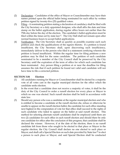- (2) Declaration Candidates of the office of Mayor or Councilmember may have their names printed upon the official ballot being nominated for such office by written petition signed by twenty-five (25) qualified voters.
- (3)  $\quad$  Filing A nominating petition stating a declaration of candidacy shall be filed with the City Secretary or a duly appointed designee, who shall affix the date and time stamp on the ballot application, during regular office hours not earlier than the 75th day before the day of the election. The candidate's ballot application must be filed within the times set by state law<sup>17</sup>. The City Hall shall not remain open after normal business hours to accept ballot applications.
- (4) Verification The City Secretary shall as quickly as possible examine each such petition and check the qualifications of the signers thereto. If a petition is found insufficient, the City Secretary shall, upon discovering such insufficiency, immediately deliver to the person who filed it a statement certifying wherein the petition is found insufficient. Within the regular time for filing petitions a new petition may be filed for the same candidate. The petition of each candidate nominated to be a member of the City Council shall be preserved by the City Secretary until the expiration of the term of office for which such candidate has been nominated. Any person filing a petition at or near the deadline for filing assumes the risk that if such petition be found not valid said candidate will not have time to file a corrected petition.

#### **SECTION 3.04 Election**

- (1) All candidates running for Mayor or Councilmember shall be elected by a majority vote of all votes cast in the regular municipal election for the office which the candidate seeks election.
- (2) In the event that a candidate does not receive a majority of votes, it shall be the duty of the City Council to order a runoff election for every place or Mayor to which no one was elected. Such runoff election shall be held in accordance with state law.
- (3) Should any person who was a candidate at the regular municipal election and who is entitled to become a candidate at the runoff election die, refuse or otherwise be unable to appear on the runoff election ballot, the candidate for such office standing next highest in the computation of vote for that office shall succeed to the rights of such candidate who failed to appear on the ballot at said runoff election. This method for selecting alternate runoff candidates shall be employed until there are two (2) candidates for each office in each runoff election and should there be only one candidate for office after the conclusion of this progress, that candidate shall be declared the winner. However, if at the date of the election, there is no runoff candidate left from those who sought to be elected to that place or Mayor in the regular election, the City Council shall declare no one elected to such place or Mayor; and shall call a Special Election on such date provided by State law<sup>18</sup> to elect a person to such place or Mayor; and said Special Election shall be conducted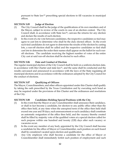pursuant to State law<sup>19</sup> prescribing special elections to fill vacancies in municipal offices.

# **SECTION 3.05 Judge of Election**

- (1) The City Council shall be the judge of the qualifications of its own members and of the Mayor, subject to review of the courts in case of an election contest. The City Council shall, in accordance with State law<sup>20</sup>, canvass the returns for any election and declare the results of such election.
- (2) In the event of a tie vote between candidates, the respective candidates so tied may agree to cast lots to determine who shall be the duly elected officer. In the event such tied candidates do not agree to determine the results of the election by casting lots, a run-off election shall be called and the respective candidates so tied shall cast lots to determine the order their names shall appear on the ballot for such runoff elections. The candidate receiving the highest number of votes of the entire City cast at said run-off election shall be elected to such office.

# **SECTION 3.06 Date and Conduct of Election**

The regular municipal election of the City Council shall be held on a uniform election date, in accordance with this Charter and state  $law<sup>21</sup>$ , and the same shall be conducted and the results canvassed and announced in accordance with the laws of the State regulating all municipal elections and in accordance with the ordinances adopted by the City Council for the conduct of elections.

## **SECTION 3.07 Qualifying of Officers**

The Mayor, Councilmembers, and other officers appointed under this Charter shall qualify by taking the oath prescribed by the Texas Constitution and by executing such bond as may be required under the provisions of this Charter and the ordinances and resolutions of the City.

## **SECTION 3.08 Candidates Holding Special Positions with the City**

- (1) In the event that the Mayor or any Councilmember shall announce their candidacy, or shall in fact become a candidate, for election to any public office other than the office then held, at any time when the unexpired term of the office then held shall exceed one year and 30 days, such announcement or such candidacy shall constitute an automatic resignation of the office then held, and the vacancy thereby created shall be filled by majority vote of the qualified voters at a special election called for such purpose within one hundred and twenty (120) days after such vacancy or vacancies occur.
- (2) In the event any member of any body appointed by the City Council shall become a candidate for the office of Mayor or Councilmember, such position on such board shall be considered vacated upon election and qualification.
- (3) Any City employee who shall become a candidate for the office of Mayor or Councilmember shall immediately forfeit such position of employment and such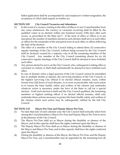ballot application shall be accompanied by said employee's written resignation, the acceptance of which shall require no further act.

# **SECTION 3.09 City Council Vacancies and Attendance**

- $(1)$  In the event of a vacancy existing in the office of Mayor or any Councilmember from any cause whatsoever, the vacancy or vacancies occurring shall be filled by the qualified voters at an election within one hundred twenty (120) days after such occurs, as prescribed by the State law22. If the term of office or offices is or are unexpired, the number of members elected at such election shall serve in such office or offices for the remainder of the unexpired term of such office or offices following the date of the election.
- (2) The office of a member of the City Council failing to attend three (3) consecutive regular meetings of the City Council, without being excused by the City Council shall be declared vacated by a majority vote of all the remaining members of the City Council. Any member of the City Council remaining absent for six (6) consecutive regular meetings of the City Council shall be deemed to have forfeited such office.
- (3) Any person elected to serve on the City Council, who, subsequent to taking office is convicted of a felony or theft shall automatically be deemed to have forfeited such office.
- (4) In case of disaster when a legal quorum of the City Council cannot be assembled due to multiple deaths or injuries, the surviving members of the City Council, or the highest surviving City official if no elected official remains, must, within twenty-four (24) hours of such disaster, or as soon as practicable, take such action as to ensure the basic health, safety and welfare of the citizens and undertake whatever action is necessary under the laws of the State to call for a special election. Until such election is held and the City Council qualified, the remaining members or highest ranking officer if no elected official remains, shall only undertake those actions necessary to protect the basic health, safety and welfare of the citizens which such action may be subsequently ratified by the full City Council.

## **SECTION 3.10 Mayor Pro-Tem and Deputy Mayor Pro-Tem**

- (1) No later than July of each calendar year, the City Council shall annually select from among the Councilmembers a Mayor Pro-Tem and Deputy Mayor Pro-Tem to serve at the pleasure of the City Council.
- (2) The Mayor Pro-Tem shall act as Mayor during the disability or absence of the Mayor, and in this capacity shall have the rights conferred upon the Mayor.
- (3) The Deputy Mayor Pro-Tem shall act as Mayor during the disability or absence of the Mayor and Mayor Pro-Tem, and in this capacity shall have the rights conferred upon the Mayor.
- (4) During the disability or absence of the Mayor, the Mayor Pro-Tem, and the Deputy Mayor Pro Tem, any Councilmember may be appointed by the remaining four (4)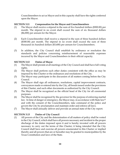Councilmembers to act as Mayor and in this capacity shall have the rights conferred upon the Mayor.

# **SECTION 3.11 Compensation for the Mayor and Councilmembers**

- (1) The Mayor shall receive a stipend in the sum of five hundred dollars (\$500.00) per month. The stipend in no event shall exceed the sum of six thousand dollars (\$6,000) per annum for the Mayor.
- (2) Each Councilmember shall receive a stipend in the sum of three hundred dollars (\$300.00) per month. The stipend in no event shall exceed the sum of three thousand six hundred dollars (\$3,600) per annum for Councilmembers.
- (3) In addition, the City Council shall establish by ordinance or resolution the standards and policies concerning reimbursement of reasonable expenses incurred by the Mayor and Councilmembers in their official capacity.

# **SECTION 3.12 Duties of Mayor**

- (1) The Mayor shall preside at all meetings of the City Council and shall have full voting rights.
- (2) The Mayor shall perform such other duties consistent with the office as may be imposed by this Charter or the ordinances and resolutions of the City.
- (3) The Mayor may participate in the discussion of all matters coming before the City Council.
- (4) The Mayor shall sign all ordinances, resolutions, capital improvement contracts, conveyances made or entered into by the City, all bonds issued under the provisions of this Charter, and such other documents as authorized by the City Council.
- (5) The Mayor shall be recognized as the official head of the City for all ceremonial purposes.
- (6) The Mayor shall be recognized by the governor for the purpose of enforcing martial law. In time of danger or emergency, the Mayor may, in accordance with State law<sup>23</sup> and with the consent of the Councilmembers, take command of the police and govern the City by proclamation and maintain order and enforce all laws.
- (7) The Mayor shall annually deliver and provide an annual state of the City report.

## **SECTION 3.13 Duties of City Council**

(1) All powers of the City and the determination of all matters of policy shall be vested in the City Council, which shall have all powers necessary and incident to the proper discharge of the duties imposed upon it and is hereby invested with all powers necessary to carry out the terms of this Charter; it being intended that the City Council shall have and exercise all powers enumerated in this Charter or implied thereby and all powers that are or hereafter may be granted to municipalities by the Texas Constitution and laws of the State.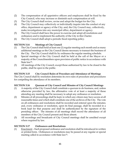- (2) The compensation of all appointive officers and employees shall be fixed by the City Council, who may increase or diminish such compensation at will.
- (3) The City Council shall review, revise and adopt the budget for the City.
- (4) The City Council may collectively or individually inquire into the conduct of any office, department or agency of the City; and, the City Council may, collectively, make investigations into any municipal office, department or agency.
- (5) The City Council shall have the power to exercise and adopt all resolutions and ordinances and to implement the authority of the City in this Charter.
- (6) The City Council shall adopt a periodic fiscal reporting policy.

# **SECTION 3.14 Meetings of City Council**

- (1) The City Council shall hold at least one (1) regular meeting each month and as many additional meetings as the City Council deems necessary to transact the business of the City. The City Council shall fix by ordinance the regular meeting schedule.
- (2) Special meetings of the City Council shall be held at the call of the Mayor or a majority of the Councilmembers upon provision of public notice in accordance with State law24.
- (3) All meetings of the City Council, except those authorized by law to be closed to the public, shall be open to the public.

# **SECTION 3.15 City Council Rules of Procedure and Attendance of Meetings**

The City Council shall by resolution determine its own rules of procedure and procedures for compelling the attendance of its members.

## **SECTION 3.16 Quorum of City Council and Minutes of City Council Meetings**

- (1) A majority of the City Council shall constitute a quorum to do business, and, unless otherwise provided by law, the affirmative vote of at least a majority of those attending any meeting shall be necessary to adopt any ordinance or resolution.
- (2) Minutes of all proceedings shall be kept, to which any citizen may have access at all reasonable times and which shall constitute one of the archives of the City. The vote on all ordinances and resolutions shall be recorded and entered upon the minutes; and, every ordinance or resolution, upon its final passage, shall be recorded in a book kept for that purpose and shall be authenticated by the signature of the presiding officer. The minutes of all meetings shall record the attendance of all members of the City Council present and those absent.
- (3) All recordings and broadcasts of City Council meetings shall be unedited except where required by law.

# **SECTION 3.17 Ordinances and Resolutions**

(1) Enactment – Each proposed ordinance and resolution shall be introduced in written or printed form. Ordinances or resolutions may be passed at any regular or special meeting called in accordance with State law25.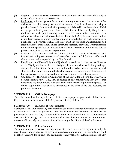- (2) Captions Each ordinance and resolution shall contain a brief caption of the subject matter of the ordinance or resolution.
- (3) Publication A descriptive title or caption stating in summary the purpose of the ordinance and the penalty for violation thereof, of each ordinance imposing a penalty, fine or forfeiture, shall after passage be published in one issue of the official newspaper of the City and proof of such publication shall be made by the printer or publisher of such paper making affidavit before some officer authorized to administer oaths. Such affidavit shall be filed with the City Secretary and shall be prima facie evidence of such publication and promulgation of such ordinance so published; said ordinances shall take effect and be in full force and effect from and after the date of publication, unless otherwise expressly provided. Ordinances not required to be published shall take effect and be in force from and after the date of passage thereof unless otherwise provided.
- (4) Savings All ordinances and resolutions of the City now in existence and not inconsistent with provisions of this Charter shall remain in full force and effect until altered, amended or repealed by the City Council.
- $(5)$  Pleading It shall be sufficient in all judicial proceedings to plead any ordinances of the City by caption without embodying the entire ordinance in the pleadings, and all pleaded ordinance(s) or codes shall be admitted as evidence in any suit and shall have the same force and effect as the original ordinances. Certified copies of the ordinances may also be used in evidence in lieu of original ordinances.
- (6) Codification The Code of Ordinances of the City, adopted June 15, 1982, which became effective July 1, 1982, shall be revised at least annually and kept up-to-date by causing any amendments to be published in the form of supplemental pages. An official copy of the Code shall be maintained in the office of the City Secretary for public examination.

# **SECTION 3.18 Official Newspaper**

The City Council shall designate by resolution a newspaper of general circulation in the City as the official newspaper of the City as provided by State law26.

# **SECTION 3.19 Influence of Appointments**

Neither the City Council nor any of its members shall direct the appointment of any person to office by the City Manager or by such City Manager's subordinates. Except for the purpose of inquiry, the City Council and its members shall deal with the administrative services solely through the City Manager and neither the City Council nor any member thereof shall, publicly or privately, give orders to any subordinate of the City Manager.

# **SECTION 3.20 Public Comment**

The opportunity for citizens of the City to provide public comment on any and all subjects regardless of the agenda shall be provided at each regular meeting. This opportunity shall be called "Citizens' Input" and shall begin prior to any vote at a regular meeting of the City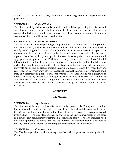Council. The City Council may provide reasonable regulations to implement this provision.

## **SECTION 3.21 Code of Ethics**

The City Council by ordinance shall establish a Code of Ethics governing the City Council and all city employees which shall include at least the following: wrongful influence, wrongful interference, employees' political activities, penalties, conflict of interest, acceptance of gifts and the use of social media.

## **SECTION 3.22 Conflicts of Interest**

The use of public office for private gain is prohibited. The city council shall implement this prohibition by ordinance, the terms of which shall include but not be limited to strictly prohibiting the Mayor or a Councilmember from: acting in an official capacity on matters in which the official has a special financial interest of any kind that is clearly separate from that of the general public; the acceptance of gifts or items of an annual aggregate value greater than \$250 from a single source; the use of confidential information for unofficial purposes; and appearance before other political subdivisions on behalf of private interests as a City official. Neither the Mayor nor any Councilmember may vote on, debate or discuss matters involving a business entity by whom they are employed or in which they have a substantial financial interest. This ordinance shall include a statement of purpose and shall provide for reasonable public disclosure of related finances by officials with major decision making authority over monetary expenditures and contractual and regulatory matters in compliance with state law. The ordinance shall also provide for fines or other appropriate administrative action for violations.

## **ARTICLE IV**

## **City Manager**

## **SECTION 4.01 Appointment**

The City Council by four (4) affirmative votes shall appoint a City Manager who shall be the administrative and chief executive officer of the City and shall be responsible to the City Council for the administration of the offices of the City, except as otherwise provided by this Charter. The City Manager shall be chosen by the City Council solely on the basis of executive and administrative training, experience and ability. The City Manager need not, when appointed, be a resident of the City, but the City Manager shall be a resident of the City within six (6) months of assuming the appointment to City Manager.

## **SECTION 4.02 Compensation**

The City Manager shall receive a salary, benefits and compensation as set by the City Council.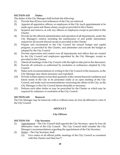# **SECTION 4.03 Duties**

The duties of the City Manager shall include the following:

- (1) Provide that all laws and ordinances of the City are enforced.
- (2) Appoint all appointive officers, or employees of the City (such appointments to be made upon merit and fitness alone), except as provided in this Charter.
- (3) Suspend and remove, at will, any officers or employees except as provided in this Charter.
- (4) Provide for the efficient administration and operation of all departments, under the City Manager's control, including the maintenance of and public information request for all records thereof except as provided in this Charter.
- (5) Prepare and recommend to the City Council the annual budget and capital program, as provided by this Charter, and administer and execute the budget as adopted by the City Council.
- (6) Provide supervision and control over all departments and offices that are created by the City Council and employees appointed by the City Manager, except as provided in this Charter.
- (7) Attend all meetings of the City Council with the right to take part in the discussion.
- (8) Execute all contracts as authorized by resolution or ordinances adopted by City Council.
- (9) Make such recommendations in writing to the City Council of the measures, as the City Manager may deem necessary and expedient.
- (10) Provide written reports no less than quarterly of the current financial conditions and future needs of the City to be presented orally at an open meeting of the City Council, and make such recommendations concerning the affairs of the City, as the City Manager or the City Council deems desirable or necessary.
- (11) Perform such other duties as may be prescribed by the Charter or which may be required by ordinance or resolution of the City Council.

## **SECTION 4.04 Removal**

The City Manager may be removed, with or without cause, by four (4) affirmative votes of the City Council.

# **ARTICLE V**

## **City Officers**

## **SECTION 5.01 City Secretary**

- (1) Appointment The City Council shall appoint the City Secretary, upon by four (4) affirmative votes of the City Council. The City Council shall consider the City Manager's recommendations regarding the appointment of the City Secretary.
- (2) Duties The City Secretary shall:
	- (A) Give notice of all official public meetings of the City Council as consistent with this Charter and State law<sup>27</sup>;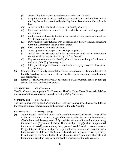- (B) Attend all public meetings and hearings of the City Council;
- (C) Keep the minutes of the proceedings of all public meetings and hearings of the City Council as prescribed by the City Council consistent with applicable law;
- (D) Act as custodian of all official records of the City Council;
- (E) Hold and maintain the seal of the City and affix this seal to all appropriate documents;
- (F) Authenticate and record all ordinances, resolutions and proclamations of the City by signature and seal;
- (G) Perform such other duties as may be required by the City Council consistent with this Charter and the laws of the State;
- (H) Shall conduct all municipal elections;
- (I) Act as agent for the purposes of serving civil process;
- (J) Assist the City Manager with the maintenance and public information request of all records as directed by the City Council;
- (K) Prepare and recommend to the City Council the annual budget for the office and staff of the City Secretary; and
- (L) Hire, provide supervision and control over all employees of the office of the City Secretary.
- (3) Compensation The City Council shall fix the compensation, salary and benefits of the City Secretary in accordance with the City Secretary's experience, qualifications and performance.
- (4) Removal The City Secretary may be removed, with or without cause, by four (4) affirmative votes of the City Council.

## **SECTION 5.02 City Treasurer**

The City Council may appoint a City Treasurer. The City Council by ordinance shall define the responsibilities, compensation, and authority of City Treasurer.

## **SECTION 5.03 City Auditor**

The City Council may appoint a City Auditor. The City Council by ordinance shall define the responsibilities, compensation, and authority of the City Auditor.

## **SECTION 5.04 Municipal Judge**

(1) Appointment – The City Council shall appoint by four (4) affirmative votes of the City Council such Municipal Judges of the Municipal Court as may be necessary, all of whom shall be competent, duly qualified attorneys licensed and practicing for at least two (2) years in the State. The Municipal Judge(s) shall be appointed for a term of two (2) years and may be appointed to additional consecutive terms. Reappointment of the Municipal Judge(s) shall occur in a manner consistent with the provisions of state law. The Municipal court shall be presided over by a judge to be known as the "Chief Judge of the Municipal Court" and such alternate and temporary judges that may be appointed by ordinance of the City Council.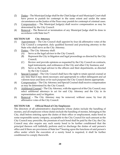- (2) Duties The Municipal Judge shall be the Chief Judge of said Municipal Court shall have power to punish for contempt to the same extent and under the same circumstances as the Justice of the Peace may punish for contempt of criminal cases.
- (3) Compensation The Municipal Judge(s) shall receive compensation as may be determined by the City Council.
- (4) Removal The Removal or termination of any Municipal Judge shall be done in accordance with State law28.

## **SECTION 5.05 City Attorney**

- (1) Appointment The City Council shall appoint by four (4) affirmative votes of the City Council a competent, duly qualified licensed and practicing attorney in the State who shall serve as the City Attorney.
- (2) Duties The City Attorney shall:
	- (A) Serve as the legal advisor to the City Council;
	- (B) Represent the City in litigation and legal proceedings as directed by the City Council;
	- (C) Review and provide opinions as requested by the City Council on contracts, legal instruments, and ordinances of the City and other City business; and
	- (D) Serve as the legal advisor to the officers and their departments, as directed by the City Council.
- (3) Special Counsel The City Council shall have the right to retain special counsel at any time that it may deem necessary and appropriate to collect delinquent and ad valorem taxes and liens or for such purposes the City Council deems appropriate.
- (4) Compensation The City Attorney and Special Counsel shall receive compensation as may be determined by the City Council.
- (5) Additional Counsel The City Attorney, with the approval of the City Council, may select additional attorneys to act for said City Attorney and the City in its representation and/or litigation.
- (6) Removal The City Attorney may be removed, without cause, by four (4) affirmative votes of the City Council.

## **SECTION 5.06 Official Bond of City Employees**

The directors of all administrative departments whose duties include the handling of monies, and all employees whose duties include the handling of monies, belonging to the City, shall before entering upon the duties of their office or employment, make bond in some responsible surety company, acceptable to the City Council for such amount as the City Council may prescribe, the premium of such bond shall be paid by the City; the City Council may also require any such surety bond to be further conditioned that the principal thereon will faithfully perform and/or discharge the duties of said person's office and if there are provisions of State law<sup>29</sup> bearing upon the functions of said person's office under which the execution of a surety bond is required, it shall be further conditioned to comply therewith.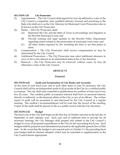#### **SECTION 5.07 City Prosecutor**

- (1) Appointment -- The City Council shall appoint by four (4) affirmative votes of the City Council a competent, duly qualified attorney licensed and practicing in the State who shall serve as the City Attorney for Municipal Court Prosecution also to be known as the City Prosecutor.
- (2) Duties -- The City Prosecutor shall:
	- (A) Represent the City and the State of Texas in proceedings and litigation in the Rowlett Municipal Court; and
	- (B) Provide training and legal updates to the Rowlett Police Department regarding duties related to the prosecution of municipal court cases; and
	- (C) All other duties required by law including the duty to see that justice is done.
- (3) Compensation -- The City Prosecutor shall receive compensation as may be determined by the City Council.
- (4) Additional Prosecutors -- The City Prosecutor may select additional attorneys to serve in his or her absence in an intermittent basis at his or her direction.
- (5) Removal -- The City Prosecutor may be removed, without cause, by four (4) affirmative votes of the City Council.

#### **ARTICLE VI**

#### **Financial**

#### **SECTION 6.01 Audit and Examination of City Books and Accounts**

At the close of each fiscal year, and at such other times as may be necessary, the City Council shall call for an independent audit of all accounts of the City by a certified public accountant. The city shall seek competitive qualifications for auditors at least once every five (5) years. The certified public accountant selected shall have no personal interest, directly or indirectly, in the financial affairs of the City or any of its officers. The written report of audit will be presented to and discussed by the City Council at a regular meeting. The auditor's recommendations will be read into the record of the meeting. Copies of the audit shall be placed on file as a public record with the City Secretary.

#### **SECTION 6.02 Budget**

The fiscal year of the City shall begin on the first day of October and end on the last day of September of each calendar year. Each year and in sufficient time to provide for all necessary hearings, the City Manager shall prepare and submit to the City Council a budget to cover all proposed expenditures of the City for the succeeding fiscal year. Such budgets shall be prepared and administered pursuant to the applicable general laws of this state. In the event that the budget is not enacted prior to October  $1<sup>st</sup>$ , the preceding fiscal year budget shall be deemed adopted, which may be amended or supplemented, as the City Council deems appropriate.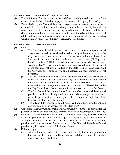## **SECTION 6.03 Inventory of Property and Liens**

- (1) The definitions of property and terms as defined by the general laws of the State under the head of taxation shall apply to the taxation of property in this City.
- (2) The tax levied by the City shall be a lien, charge or encumbrance upon the property upon which the tax is due, which lien, charge or encumbrance the City is entitled to enforce and foreclose in any court having jurisdiction over the same, and the lien, charge and encumbrance on the property in favor of the City. All taxes upon real estate shall be a lien and a charge upon the property upon which the taxes are due, which lien may be foreclosed in any court having jurisdiction.

## **SECTION 6.04 Taxes and Taxation**

- (1) Powers
	- (A) The City Council shall have the power to levy, for general purposes, an ad valorem tax on real, personal, and mixed property within the territory of the City, not exempt from taxation by the Texas Constitution and laws of the State, not to exceed a total of one dollar and twenty-five cents (\$1.25) per one hundred dollars (\$100.00) assessed valuation of said property in accordance with State law<sup>30</sup>, based upon its true value as provided by law to the extent of the constitutional limit permitted by the State to cities. In no event shall the City have the power to levy an ad valorem on non-business personal property.
	- (B) The City Council may levy taxes on all property, privileges and franchises of every kind and description within the City limits or having its situs therein on January first of each year, and from any other local source. The place, time, and manner of payment thereof, with penalties, shall be established by the City Council, as it deems best, not in violation of the laws of this State.
	- (C) The City Council shall determine and provide when taxes shall be due and payable. It shall have the right to fix the time and terms of payments of taxes, prescribe penalties for the non-payment thereof upon the expiration of the time fixed by the said City Council.
	- (D) The City will, by ordinance, adopt homestead and other exemption(s) as it deems appropriate in accordance with State law<sup>31</sup>.
- (2) Collection The City Council shall have full power, by ordinance to provide for the prompt collection of all taxes levied, assessed and due or becoming due to the City.
- (3) Payment All ad valorem taxes due or to become due upon real, business personal or mixed property or upon franchises granted by the City to individuals or corporations and all license taxes, occupation taxes, permit fees, fines, forfeitures, penalties and other amounts of taxes accruing to the City shall be collectable and payable only in current money of the United States.
- (4) Delinquency
	- (A) All ad valorem taxes due or to become due to the City that are not paid within the time specified by law shall be delinquent and shall be subject to penalties and charges prescribed by law32.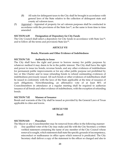- (B) All suits for delinquent taxes to the City shall be brought in accordance with general laws of the State relative to the collection of delinquent state and county ad valorem taxes.
- (5) Appraisal Appraisal of property for ad valorem purposes shall be conducted in accordance with the provisions of the State law<sup>33</sup>, as the same is from time to time amended.

#### **SECTION 6.05 Designation of Depository for City Funds**

The City Council shall select a depository for City funds in accordance with State law<sup>34</sup>, and to follow all the terms and provisions State law35.

## **ARTICLE VII**

#### **Bonds, Warrants and Other Evidence of Indebtedness**

#### **SECTION 7.01 Authority to Issue**

The City shall have the right and power to borrow money for public purposes by whatever method it may deem to be in the public interest. The City shall have the right and power to issue tax bonds, revenue bonds, and any other evidences of indebtedness for permanent public improvements or for any other public purpose not prohibited by law or this Charter and to issue refunding bonds to refund outstanding evidences of indebtedness previously issued. All such bonds or other evidences of indebtedness shall be issued in conformity with the laws of the State applicable at the time of issuance of such obligations. Notwithstanding, an affirmative vote of at least 80% of Councilmembers in attendance at a regular meeting shall be required to authorize issuance of all bonds and other evidence of indebtedness, with the exception of refunding bonds.

#### **SECTION 7.02 Manner of Issuance**

Bonds and warrants of the City shall be issued as provided by the General Laws of Texas applicable to cities and towns.

#### **ARTICLE VIII**

#### **Recall**

#### **SECTION 8.01 Procedure**

The Mayor or any Councilmember may be removed from office in the following manner:

(1) Any qualified voter of the City may make and file with the City Secretary a written verified statement containing the name of any member of the City Council whose removal is sought, which statement shall state the specific grounds of incompetency, misconduct or malfeasance in office upon which removal is predicated. The City Secretary shall deliver a copy of the statement to the officer so charged and also to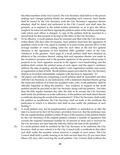the other members of the City Council. The City Secretary shall deliver to the person making such charges petition blanks for demanding such removal. Such blanks shall be issued by the City Secretary with the City Secretary's signature thereto attached, shall be dated and addressed to the City Council, and shall state the grounds, as is required in the initial written statement, so as to give the officer sought to be removed and those signing the petition notice of the matters and things with which such officer is charged. A copy of the petition shall be recorded in a record book for that purpose to be kept in the office of the City Secretary.

- (2) To be effective, a recall petition must be returned and filed with the City Secretary within thirty (30) days after its issuance. Such petition must bear the signatures of qualified voters of the City equal in number to at least twenty percent (20%) of the average number of voters casting votes for such office at the last two general elections or the signatures of five hundred (500) qualified voters of the City, whichever is the greatest. Each page of a recall petition shall have attached an affidavit of the circulator thereof, stating that each signature thereto was made in the circulator's presence and is the genuine signature of the person whose name it purports to be. Each signature must be in the signer's own handwriting, and the petition shall contain the printed name of each signer and the signer's residence address, the date of signing, and the signer's voter registration number and county of registration or date of birth. Recall petition papers provided by the City Secretary shall be in form that substantially complies with the form in Appendix "A".
- (3) All papers and affidavits comprising a recall petition shall be assembled and filed with the City Secretary as one instrument, with a statement attached thereto giving the name and address of at least one qualified voter, who, as the petitioner, shall be officially regarded as filing the petition. Any evidence in support of the recall petition should be provided to the City Secretary along with the petition. Not later than the fifth regular business day after the date of its receipt, the City Secretary shall notify the petitioner as to the sufficiency of the petition and shall attach thereto a certificate showing the result of the examination<sup>36</sup>. If the City Secretary shall certify the petition as insufficient, the City Secretary shall set forth in the certificate the particulars in which it is defective and shall at once notify the petitioner of such finding.<sup>37</sup>
- (4) A recall petition may not be supplemented, modified, or amended on or after the date it is received by the City Secretary; provided, however, that the petitioner may file one supplementary petition (within 30 days of the issuance of the petition blanks by the City Secretary) if the original petition contains a number of signatures that exceeds the required minimum number by 10 percent or more and is received by the City Secretary not later than the 10th day before the date of the deadline.<sup>38</sup>
- (5) If a recall petition shall be certified by the City Secretary to be sufficient, the City Secretary shall at once submit it to the City Council with a certificate to that effect and shall notify the member whose removal is sought of such action. The City Council shall hold a public hearing to be held not less than five (5) nor more than fifteen (15) days after receiving the recall petition. City Council shall (without the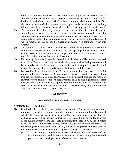vote of the officer or officers whose removal is sought), upon presentation of credible evidence of grounds stated in petition, thereupon order and fix the date for holding a recall election which shall be held at the next date authorized for City elections by State law39. In the event of a multiple member recall and the resulting failure to establish a quorum, the petition will automatically result in an election.<sup>40</sup>

- (6) The question of recalling any number of members of the City Council may be submitted at the same election, but as to each member whose removal is sought a separate written statement and a separate petition shall be filed and there shall be an entirely separate ballot. Candidates to succeed any members of the City Council whose removal is sought shall be placed in nomination in compliance with this Charter.
- (7) The ballot to be used in a recall election shall submit the proposition in substantial compliance with the form in Appendix "B". Except as provided in this section, ballots used in recall elections shall comply with the provisions of this Charter regarding ballots for regular municipal elections.
- (8) If a majority of votes be for recall of the officer, such officer shall be deemed removed from office. The candidate to succeed such officer who receives the highest vote shall be declared elected to fill the unexpired term. If an officer sought to be recalled shall resign, the vacancy shall be filled as prescribed by law and this Charter.
- (9) No recall shall be filed against the Mayor or a Councilmember within three (3) months after such Mayor or Councilmember takes office. In the case of an insufficient petition, a Council determination of insufficient grounds for recall, or an unsuccessful recall election, no recall petition shall be filed against said officer until at least six (6) months has expired from the date on which the petition was certified insufficient, the date of the Council's determination, or the date of the canvassing of the votes of the recall election.

## **ARTICLE IX**

#### **Legislation by Initiative and Referendum**

#### **SECTION 9.01 Initiative**

- (1) Qualified voters of the City may initiate any ordinance (except one appropriating money, levying a tax or issuing bonds) by submitting a petition to the City Council which, after approval as to legal form by the City Attorney, requests that the ordinance be passed by the City Council, or, if not passed, it be submitted to a vote of the qualified voters of the City. Said petition must be signed by qualified voters of the City equal in number to twenty percent (20%) of the number of votes cast at the last regular municipal election, or 250, whichever is greater, and each copy of the petition shall have attached to it a copy of the proposed ordinance.
	- (A) The petition must state the residence of each signer and bear the oath of one of the signers that each signature thereon is the genuine signature of each person whose name it purports to be subscribed thereon.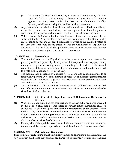- (B) The petition shall be filed with the City Secretary and within twenty (20) days after such filing the City Secretary shall check the signatures on the petition against the county voter registration lists and attach thereto the City Secretary certificate showing the results of such examination.
- (2) Any person who has filed an insufficient petition shall be notified immediately upon discovery of such insufficiency and may present additional signatures within ten (10) days after such notice or may file a new petition at any time.
- (3) Within twenty (20) days after the City Secretary finds such a petition to be sufficient, the City Council shall either pass the ordinance as submitted or order an election to submit the proposed ordinance to a vote of the qualified voters of the City who shall vote on the question: "For the Ordinance" or "Against the Ordinance." If a majority of the qualified voters at such election vote for the ordinance, it shall thereupon be an ordinance of the City.

## **SECTION 9.02 Referendum**

- (1) The qualified voters of the City shall have the power to approve or reject at the polls any ordinance passed by the City Council (except ordinances appropriating money, levying a tax or issuing bonds by submitting a petition to the City Council requesting that the ordinance be repealed, or, if not repealed, that it be submitted to a vote of the qualified voters of the City.
- (2) The petition shall be signed by qualified voters of the City equal in number to at least twenty percent (20%) of the number of votes cast at the last regular municipal election or 250, whichever is greater and each copy of the petition shall have attached to it a copy of the ordinance.
- (3) The petition shall be filed with the City Secretary and shall be signed and checked for sufficiency in the same manner as initiative petitions are herein required to be signed, verified and checked.

#### **SECTION 9.03 City Council to Repeal or Submit Referendum Ordinance to Election**

- (1) When a referendum petition has been certified as sufficient, the ordinance specified in the petition shall not go into effect or further action thereunder shall be suspended if it shall have gone into effect, unless approved by the electors. When filed, the City Council shall immediately reconsider such ordinance and if the City Council does not entirely repeal the same, it shall order an election to submit the ordinance to a vote of the qualified voters, who shall vote on the question: "For the Ordinance" or "Against the Ordinance".
- (2) If a majority of the qualified voters at such election do not vote for the ordinance, the same shall be deemed repealed and it shall be without further force and effect.

#### **SECTION 9.04 Publication of Ordinances**

Prior to the date early voting shall begin in any election on an initiative or referendum, the City Secretary shall cause the particular ordinance to be published verbatim in at least one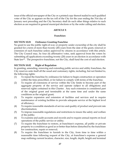issue of the official newspaper of the City or a printed copy thereof mailed to each qualified voter of the City as appears on the tax roll of the City for the year ending the 31st day of January next preceding and the City Secretary shall do such other things relative to such election as are required in general municipal elections or by the order calling said election.

## **ARTICLE X**

#### **Franchises**

# **SECTION 10.01 Ordinance Granting Franchise**

No grant to use the public right-of-way or property under ownership of the city shall be granted for a term of more than twenty (20) years from the date of the grant, renewal or extension of such franchise unless approved by citizens in accordance with this article. The City Council may, by four (4) affirmative votes, seek approval from the voters by submitting all applications exceeding twenty (20) years to an election in accordance with State law<sup>41</sup>. The prospective franchisee, not the City, shall fund the cost of said election.

# **SECTION 10.02 Right of Regulation**

In granting, amending, renewing and extending public service and utility franchises, the City reserves unto itself all the usual and customary rights, including, but not limited to, the following rights:

- (1) To repeal the franchise by ordinance for failure to begin construction or operation within the time prescribed, or for failure to comply with terms of the franchise;
- (2) To require all extensions of service within the City limits to become part of the aggregate property of the service and operate subject to all obligations and reserved rights contained in this Charter. Any such extension is considered part of the original grant and terminable at the same time and under the same conditions as the original grant;
- (3) To require expansion and extension of facilities and services and to require maintenance of existing facilities to provide adequate service at the highest level of efficiency;
- (4) To require reasonable standards of service and quality of product and prevent rate discrimination;
- (5) To impose reasonable regulations and restrictions to insure the safety and welfare of the public;
- (6) To examine and audit accounts and records and to require annual reports on local operations of the public service or utility;
- (7) To require the franchisee to restore, at franchisee's expense, all public or private property to a condition as good as or better than before disturbed by the franchisee for construction, repair or removal;
- (8) To require the franchisee to furnish to the City, from time to time within a reasonable time following request of the City, at franchisee's expense a general map outlining current location, character, size, length, depth, height and terminal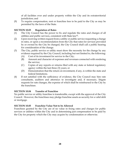of all facilities over and under property within the City and its extraterritorial jurisdiction; and

(9) To require compensation, rent or franchise fees to be paid to the City as may be permitted by the laws of the State.

# **SECTION 10.03 Regulation of Rates**

- (1) The City Council has the power to fix and regulate the rates and charges of all utilities and public services, consistent with State law42.
- (2) Upon receiving written request from a utility or public service requesting a change in rates, or upon a recommendation from the City that rates for services provided by or owned by the City be changed, the City Council shall call a public hearing for consideration of the change.
- (3) The City, public service or utility must show the necessity for the change by any evidence required by the City Council, including but not limited to, the following:
	- (A) Cost of its investment for service to the City;
	- (B) Amount and character of expenses and revenues connected with rendering the service;
	- (C) Copies of any reports or returns filed with any state or federal regulatory agency within the last three (3) years; or
	- (D) Demonstration that the return on investment, if any, is within the state and federal limitations.
- (4) If not satisfied with the sufficiency of evidence, the City Council may hire rate consultants, auditors and attorneys to investigate and, if necessary, litigate requests for rate changes, the expense of which shall be reimbursed to the City by the franchisee.

## **SECTION 10.04 Transfer of Franchise**

No public service or utility franchise is transferable, except with the approval of the City Council. However, the franchisee may pledge franchise assets as security for a valid debt or mortgage.

## **SECTION 10.05 Franchise Value Not to be Allowed**

Franchises granted by the City are of no value in fixing rates and charges for public services or utilities within the City and in determining just compensation to be paid by the City for property which the City may acquire by condemnation or otherwise.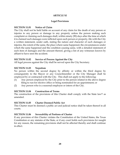## **ARTICLE XI**

#### **Legal Provisions**

#### **SECTION 11.01 Notice of Claim**

The City shall not be held liable on account of any claim for the death of any person or injuries to any person or damage to any property unless the person making such complaint or claiming such damages shall, within ninety (90) days after the time at which it is claimed such damages were inflicted upon such person or property, file with the City a written statement, under oath, stating the nature and character of such damages or injuries, the extent of the same, the place where same happened, the circumstances under which the same happened and the condition causing same, with a detailed statement of each item of damages and the amount thereof, giving a list of any witnesses known by affiant to have seen the accident.

#### **SECTION 11.02 Service of Process Against the City**

All legal process against the City shall be served upon the City Secretary.

#### **SECTION 11.03 Nepotism**

No person within the second degree by affinity or within the third degree by consanguinity to the Mayor or any Councilmember or the City Manager shall be employed by or contracted with the City. This shall not apply to the following:

- (1) Any person employed by the City prior to the person related in the above degree filing to run for elective office or being nominated for an appointment; or
- (2) Any person who is a seasonal employee or intern of the City.

## **SECTION 11.04 Construction of Terms**

The construction of the provisions of this Charter shall comply with the State law<sup>43</sup> as amended.

#### **SECTION 11.05 Charter Deemed Public Act**

This Charter must be deemed a public act and judicial notice shall be taken thereof in all courts.

## **SECTION 11.06 Severability of Portions of Charter**

If any provision of this Charter violates the Constitution of the United States, the Texas Constitution or any statutes of the State, or if any court holds such provisions for naught for any reason, the remaining provisions shall not be affected thereby and shall continue in effect.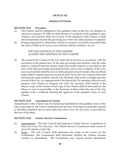#### **ARTICLE XII**

#### **Adoption Of Charter**

#### **SECTION 12.01 Procedure**

- (1) This Charter shall be submitted to the qualified voters of the City for adoption or rejection on January 19, 1980, at which election, if a majority of the qualified voters voting in such election shall vote in favor of the adoption of this Charter, it shall then immediately become the governing law of the City until amended or repealed.
- (2) It being impractical to submit this Charter by sections, it is hereby prescribed that the form of ballot to be used in such election shall be as follows, to-wit:

FOR THE ADOPTION OF THE CHARTER AGAINST THE ADOPTION OF THE CHARTER

(3) The present City Council of the City shall call an election in accordance with the provisions of the general laws of the state governing such elections, and the same shall be conducted and the returns made and results declared as provided by the laws of the State governing municipal elections, and in case a majority of the votes cast at such election shall be in favor of the adoption of such Charter, then an official order shall be entered upon the records of said City by the City Council of Rowlett declaring the same adopted, and the City Secretary shall record at length upon the records of the City, in a separate book to be kept in the City Secretary office for such purpose, such Charter as adopted, and such City Secretary shall furnish to the Mayor a copy of the Charter which copy of the Charter shall be forwarded by the Mayor as soon as practicable, to the Secretary of State under the seal of the City together with a certificate showing the approval of the qualified voters of such Charter.

#### **SECTION 12.02 Amendment of Charter**

Amendments to this Charter may be framed and submitted to the qualified voters of the City as provided by the Texas Constitution and the laws of the State as presently enacted or hereafter amended; but no more often than once every two (2) years, as provided by the laws of the State.

#### **SECTION 12.03 Charter Review Commission**

- (1) Appointment The City Council shall appoint a Charter Review Commission at least once every five (5) years. The Charter Review Commission shall consist of seven (7) citizens of the City.
- (2) Scope The City Council shall determine the scope of the review by the Commission. The Commission shall determine whether the Charter requires revision or amendment. The Commission may request factual information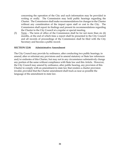concerning the operation of the City and such information may be provided in writing or orally. The Commission may hold public hearings regarding the Charter. The Commission shall make recommendations for changes to the Charter without any consideration of the impact upon staff or cost to the City. The Commission shall report its findings and present its recommendations regarding the Charter to the City Council at a regular or special meeting.

(3) Term – The term of office of the Commission shall be for not more than six (6) months, at the end of which time a report shall be presented to the City Council and all records of proceedings of the Commission shall be filed with the City Secretary and become a public record.

#### **SECTION 12.04 Administrative Amendment**

The City Council may provide by ordinance, after conducting two public hearings, to amend, alter or reformat any provisions and to amend statutory or State law references and/or endnotes of this Charter, but may not in any circumstance substantively change any portion of the same without compliance with State law and this Article. However, the City Council may amend by ordinance, after public hearing, any provision of this Charter to comply with an amendment to state law that renders a charter provision invalid, provided that the Charter amendment shall track as near as possible the language of the amendment to state law.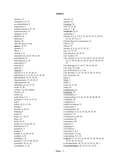#### **INDEX**

absence, 13 acceptance, 13, 17 accommodation, 9 acquisition, 9 administration, 4, 17, 18 Administrative, 31 adoption, 5, 30 affidavit, 16 affidavits, 7 affinity, 30 affix the seal. *See* seal **agency**, 15, 29 agenda, 17 alleys, 7 amend, 5, 31 amended, 16, 22, 23, 30, 31, 36 amendment, 31 amendments, 6, 16 annexation, 5 annexed, 5 appeals, 7 Appeals, 7 appoint, 4, 6, 17, 19, 20, 31 appointed, 6, 7, 11, 12, 13, 17, 18, 20 appointment, 16, 17, 19, 30 Appointment, 17, 19, 20, 31 Appointments, 16 attendance, 6, 14, 15, 23 audit, 21, 28 auditor. *See* city auditor Auditor, 19 audits, 22 authorities, 4, 5 authority, 7, 8, 9, 15, 17, 19 bail, 6 ballot, 10, 11, 13, 30 benefit, 7 benefits, 4, 18, 19 bidding, 8 bodies, 9 body, 4, 5, 10, 12 Body, 10 bond, 12, 21 bonds, 5, 6, 14, 23, 26, 27 Boundaries, 4, 5 boundary, 5 bridges, 7 budget, 5, 15, 18, 19, 22 budgets, 4, 22 buildings, 7, 8 business, 7, 15, 17, 20, 22, 23 candidate, 10, 11, 12 Candidates, 11, 12

canvass, 12 caption, 16 Captions, 16 case, 12, 13, 30 cases, 6, 7, 20 **certificate**, 26, 31 certificates, 7 Charter, 4, 5, 6, 7, 8, 9, 12, 14, 15, 16, 17, 18, 19, 23, 28, 30, 31, 2, 3 Charter Review Commission, 31 Chief, 8, 20 citizen, 15 citizens, 4, 5, 10, 13, 17, 27, 31 city, 4, 9, 17, 27 City Attorney, 20, 26, 27 City Auditor, 19 City Council, 4, 5, 6, 7, 8, 9, 10, 11, 12, 13, 14, 15, 16, 17, 18, 19, 20, 21, 22, 23, 26, 27, 28, 29, 30, 31 City Manager, 4, 7, 16, 17, 18, 19, 22, 30 City map. *See* map City of Rowlett, 4, 6, 1, 36 City Secretary, 5, 11, 16, 19, 22, 26, 27, 29, 31 City Treasurer, 19 Civil, 6 Clerk, 7 clerks, 7 Code, 16, 17, 36 codes, 16 Codification, 16 Collection, 23 commitment, 6 compensation, 8, 9, 14, 15, 18, 19, 20, 28, 29 complaint, 29 complaints, 6 conflict of interest, 17 connections, 9 consanguinity, 30 Constitution, 4, 5, 12, 15, 22, 30, 31, 36 construct, 7, 8 construction, 8, 28, 30 consultants, 29 contempt, 6, 20 contract, 8 Contracts, 8 convictions, 7 corporate, 4, 5, 6 corporation, 7, 8, 10 corporations, 5, 9, 23 **Council**, 4, 5, 12, 13, 14, 15, 16, 17, 18, 19, 20, 21, 22, 23, 26, 27, 30, 31 Councilmember, 10, 11, 12, 13, 14, 17, 30, 1 **Councilmembers**, 10, 12, 13, 14, 15, 23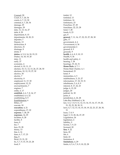Counsel, 20 Court, 6, 7, 20, 36 courts, 6, 7, 12, 30 criminal, 6, 7, 20, 36 damage, 29 damages, 29 date, 11, 13, 16, 27 debt, 8, 29 department, 8, 15 departments, 18, 20, 21 deputies, 7 Deputy, 13 destruction, 8 directors, 21 drainage, 8 drink, 9 **duties**, 4, 5, 8, 14, 18, 19, 21 Duties, 14, 18, 19, 20 duty, 11 early, 27 economic, 4 elected, 4, 10, 11, 13 election, 10, 11, 12, 13, 26, 27, 28, 30 elections, 10, 12, 19, 27, 30 elective, 30 electric, 7 electricity, 8 employed, 11, 17, 30 employment, 12, 21 encroachments, 7 engines, 7 entity, 6, 17 **establish**, 4, 6, 7, 8, 14, 17 established, 4, 6, 22 establishing, 8, 9 Establishment, 6 Ethics, 17 execute, 18 **execution**, 4, 21 expenditures, 17, 22 **expense**, 7, 28, 29 **expenses**, 14, 29 facilities, 8, 28 facility, 8 fares, 8 fee, 7 fees, 23, 28 felony, 13 fine, 6, 16 fines, 6, 7, 17, 23 Fire, 8 fiscal, 15, 21, 22 fix, 5, 7, 9, 15, 19, 23, 28 food, 9

forfeit, 12 forfeited, 13 forfeiture, 16 forfeitures, 23 Franchise, 27, 29 franchises, 22, 23, 28 fund, 7, 28 funds, 8, 23 gas, 8 **general**, 7, 11, 16, 17, 22, 23, 27, 28, 30 gifts, 17 government, 4, 6 Government, 4, 36 governmental, 6 ground, 8, 9 grounds, 9 **health**, 4, 6, 8, 9, 10, 13 Health, 9, 36 health and safety, 4 hearing, 7, 28 hearings, 19, 22, 31 **Home Rule**, 4, 7, 1 Home Rule Charter, 4, 1 homestead, 23 hotel, 9 immunities, 4, 5 indebtedness, 5, 23, 27 information, 17, 18, 19, 31 inhabitants, 5, 6, 8, 9 interest, 8, 17, 22, 23 judge, 6, 12, 20 judges, 20 judicial, 16, 30 juries, 6 jurisdiction, 6, 22, 28 Lake Ray Hubbard, 6, 36 law, 5, 6, 7, 8, 9, 11, 12, 13, 14, 15, 16, 17, 19, 20, 21, 22, 23, 28, 30, 31 laws, 4, 7, 12, 13, 14, 15, 18, 19, 22, 23, 27, 28, 30, 31 lease, 7, 8, 9 legal, 5, 13, 20, 26, 27, 29 Legislation, 26 legislature, 6 liability, 9 license, 7, 9, 23 licensed, 20 **lien**, 9, 22 liens, 20 life, 6 limit, 22 limitation, 8 **limitations**, 4, 29 limits, 4, 5, 6, 7, 8, 9, 10, 22, 28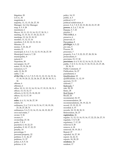litigation, 20 LOCAL, 36 magistrate, 6 majority, 11, 13, 15, 26, 27, 30 Manager. *See* City Manager map, 4, 5, 9, 28 maximum, 6 Mayor, 10, 11, 12, 13, 14, 15, 17, 30, 31, 1 meeting, 13, 15, 16, 17, 18, 22, 23, 31 meetings, 13, 14, 15, 18, 19 member, 11, 12, 13, 16 members, 5, 8, 10, 12, 13, 15, 16 Minutes, 15 money, 5, 23, 26, 27 monies, 21 municipal, 4, 5, 6, 7, 11, 12, 15, 19, 26, 27, 30 Municipal Court, 6, 7, 20 municipality, 8 natural, 8 Nepotism, 30 newspaper, 16, 27 notice, 15, 19, 26, 30 nuisances, 6, 9 oath, 12, 26, 29 oaths, 7, 16 **of the City**, 4, 5, 6, 7, 8, 9, 10, 11, 12, 13, 14, 15, 16, 17, 18, 19, 20, 21, 22, 24, 26, 27, 28, 29, 30, 31, 1, 36 offense, 6 offenses, 6 office, 10, 11, 12, 13, 14, 15, 16, 17, 19, 21, 30, 31, 1 officer, 13, 15, 16, 17 officers, 4, 10, 12, 15, 18, 20, 22 offices, 12, 13, 17, 18 oil, 8 **order**, 4, 6, 11, 14, 26, 27, 30 orders, 16 ordinance, 5, 6, 7, 8, 9, 14, 15, 16, 17, 18, 19, 20, 23, 26, 27, 28, 31 ordinances, 5, 6, 9, 12, 14, 15, 16, 18, 19, 20, 27 own real estate, 7 owner, 9, 36 owners, 9 ownership, 27, 36 parks, 7, 8, 9 payment, 6, 10, 22, 23 penalties, 9, 10, 17, 22, 23 penalty, 16 percentage, 5 personal property, 22 petition, 5, 11, 26, 27 petitions, 11, 27 police, 6, 8, 9, 14 policies, 4, 14

policy, 14, 15 politic, 4, 5 political, 4, 17 political subdivision, 4 power, 5, 6, 7, 8, 9, 10, 15, 20, 22, 23, 27, 28 **powers**, 4, 5, 6, 7, 10, 14 Powers, 5, 7, 22 practice, 7 PREAMBLE, 4 preserve, 6 preserved, 11 Prevention, 8 **privileges**, 4, 5, 22 pro rata, 5 Process, 29 processes, 7 property, 5, 6, 7, 9, 22, 23, 27, 28, 29, 36 prosecutions, 6 provision, 15, 17, 30 **provisions**, 4, 6, 9, 10, 12, 14, 16, 21, 23, 30, 31 public, 7, 8, 9, 11, 15, 16, 17, 18, 19, 21, 23, 27, 28, 29, 30, 31 Public Comment, 17 Publication, 16, 27 punishment, 6 Qualification, 10 qualifications, 11, 12, 19 quorum, 13, 15 railroad, 7 Railroads, 7 rate, 28, 29 Rates, 28 Real Estate, 7 Recall, 24 recommend, 18, 19 recommendation, 28 recommendations, 18, 19, 22, 31 record, 15, 19, 22, 31 recorded, 4, 15 records, 18, 19, 28, 30, 31 Referendum, 26, 27 **registration**, 26 regular, 11, 12, 13, 14, 15, 16, 17, 22, 23, 26, 27, 31 regulate, 7, 8, 9, 28 regulatory, 7, 17, 29 removal, 8, 28 remove, 6, 18 removed, 18, 19, 20, 1 Repeal, 27 repealed, 16, 27, 30 report, 14, 22, 31 reports, 18, 28, 29 **residence**, 26 resident, 17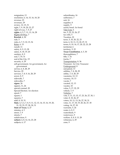resignation, 13 resolution, 6, 14, 15, 16, 18, 20 revenue, 23 revenues, 29 review, 12, 15, 31 right, 7, 9, 18, 20, 23, 27 right-of-way, 7, 9, 27 **rights**, 4, 5, 7, 11, 13, 14, 28 Rights-Of-Way, 7 **Rowlett**, 4, 30 rule, 5 rules, 6, 7, 9, 10, 15, 36 Rules, 6, 15 runoff, 11 safety, 8, 9, 13, 28 salary, 8, 18, 19, 20 sanitary, 8, 9 seal, 7, 19, 31 seal of the City, 19 security, 6, 29 self-government. *See* government, *See* government service, 6, 8, 28, 29 Service, 29 services, 7, 8, 9, 16, 28, 29 sewer, 8, 9 sidewalk, 7 sidewalks, 7 **signer**, 26 signers, 11, 26 special counsel, 20 Special Election. *See* election speed, 7 square, 1 squares, 7 staff, 8, 19, 31 **State**, 4, 5, 6, 7, 8, 9, 11, 12, 13, 14, 15, 16, 19, 20, 21, 22, 23, 27, 28, 30, 31 **State of Texas**, 4, 27 statutes, 4, 5 street, 7, 9 streets, 7 subdivision, 9 **subject**, 4, 8, 12, 16, 23, 28 subjects, 6, 17

subordinates, 16 sufferance, 7 suit, 16 supplies, 8 supply, 9 surety bond. *See* bond Take-Line, 6 tax, 5, 22, 23, 26, 27 tax rolls, 5 Taxation, 22 taxes, 5, 10, 20, 22, 23 term, 6, 10, 11, 13, 20, 27, 31 terms, 8, 10, 14, 17, 20, 22, 23, 28 territorial, 6 territory, 5, 22 **Texas Constitution**, 4, 5, 30 thoroughfares, 7 title, 7, 16 tracks, 7 Transportation, 8, 36 Treasurer. *See* City Treasurer Underground, 8 unexpired, 13 utilities, 7, 8, 28, 29 utility, 7, 8, 28, 29 vacancies, 12, 13 vacancy, 10, 13 vacate, 7 vacated, 12, 13 vacates, 10 value, 5, 17, 22, 29 vehicle, 7, 9 Vehicles, 7 vote, 5, 11, 13, 15, 17, 23, 26, 27, 30, 1 voter, 8, 10, 26, 27 voters, 10, 11, 13, 26, 27, 30, 31 votes, 11, 17, 18, 19, 20, 26, 27, 30 voting, 14, 27, 30 warrants, 5, 24 water, 6, 8, 9 watersheds, 9 waterways, 9 welfare, 4, 8, 9, 13, 28 witnesses, 6, 29 zone, 9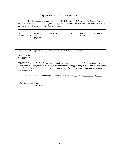#### **Appendix "A" RECALL PETITION**

*We, the undersigned qualified voters of the City of Rowlett, Texas, hereby demand that the question of removing \_\_\_\_\_\_\_\_\_\_\_\_ from the City Council be submitted to a vote of the qualified voters of the City of Rowlett based upon the following grounds:* 

| PRINTED | VOTER                          | ADDRESS | COUNTY | DATE OF | <i>SIGNATURE</i> |
|---------|--------------------------------|---------|--------|---------|------------------|
| NAME.   | <i>REGISTRATION</i><br>NUMBER* |         |        | BIRTH*  |                  |

<u> 1989 - Johann Stoff, amerikansk politiker (d. 1989)</u>

*\* Either the Voter Registration Number or the Date of Birth must be included.* 

*STATE OF TEXAS COUNTY OF \_\_\_\_\_\_\_\_\_\_\_\_* 

*BEFORE ME, the undersigned authority, personally appeared \_\_\_\_\_\_\_\_\_\_\_\_ who, after being duly sworn, deposes and says that he/she is the circulator of the foregoing petition paper and that the signatures appended thereto were made in his/her presence and are genuine signatures of the persons whose names they purport to be.* 

*SUBSCRIBED AND SWORN TO BEFORE ME, this the \_\_\_ day of \_\_\_\_\_\_\_\_\_\_, 20\_\_\_\_\_.* 

*Notary Public in and for \_\_\_\_\_\_\_\_\_\_\_\_\_ County, Texas*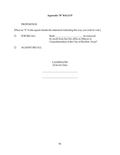# **Appendix "B" BALLOT**

## PROPOSITION

(Place an "X" in the square beside the statement indicating the way you wish to vote.)

| <b>FOR RECALL</b> | Shall | be removed                                    |
|-------------------|-------|-----------------------------------------------|
|                   |       | by recall from his/her office as (Mayor or    |
|                   |       | Councilmember) of the City of Rowlett, Texas? |

AGAINST RECALL

CANDIDATES (Vote for One)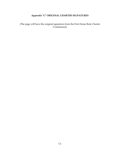# **Appendix "C" ORIGINAL CHARTER SIGNATURES**

(The page will have the original signatures from the First Home Rule Charter Commission)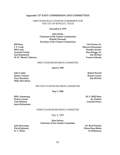#### **Appendix "D" PAST COMMISSION AND COMMITTEES**

FIRST HOME RULE CHARTER COMMISSION FOR THE CITY OF ROWLETT, TEXAS

**December 6, 1979**

**John Wells, Chairman of the Charter Commission Harold Chenault, Secretary of the Charter Commission**

**J. T. Cook Malvern Kennemer Bill Coyle Dorothy Kiesler Armond Gentry Ray Kneggs, Sr. Earl Hammond Jim McNair W. R. "Shorty" Johnson Vernon Schrade** 

**Bill Bean Orvil Jones, Sr.**

#### FIRST CHARTER REVISION COMMITTEE

#### **April 2, 1983**

**John Crable Robert Powell Jimmy Turman Wayne Carnes Dave Hawkins Jim McNair Mike McCallum**

#### SECOND CHARTER REVISION COMMITTEE

**May 7, 1988**

**Billy Armstrong M. E. (Bill) Bean Wayne Carnes Jay Durkin Tom Hilliard Leonard Prince Janis Richardson**

#### THIRD CHARTER REVISION COMMITTEE

May 4, 1991

#### **John Schroy, Chairman of the Charter Committee**

**Jade Browning Dr. Brad Daniels David Johnson Diane Ross-Rahm K. C. Wiles Al Wilkinson**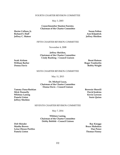#### FOURTH CHARTER REVISION COMMITTEE

May 3, 2003

**Councilmember Stanton Foerster, Chairman of the Charter Committee**

**Richard S. Huff Ann Kilpatrick Jeffrey C. Mateer Jeffrey Sheldon**

**Hector Collazo, Jr. Suzan Fulton**

#### FIFTH CHARTER REVISION COMMITTEE

November 4, 2008

**Jeffrey Sheldon, Chairman of the Charter Committee Cindy Rushing – Council Liaison**

**Scott Airitam Brent Hutson William Barber Roger Tomberlin Donna Davis Bobby Wright**

#### SIXTH CHARTER REVISION COMMITTEE

May 11, 2013

**Dr. Michael Lucas, Chairman of the Charter Committee Donna Davis – Council Liaison**

**Tammy Dana-Bashian Brownie Sherrill Mick Donnelly David Jenkins Whitney Laning Kevin Lawson Pamela Liston Susie Quinn Jeffrey Sheldon**

#### SEVENTH CHARTER REVISION COMMITTEE

May 7, 2016

**Whitney Laning, Chairman of the Charter Committee Debby Bobbitt – Council Liaison**

**Deb Shinder Ray Kneggs Martha Brown Bruce Mahnken Leisa Oleson Peebles Dan Pence Pamela Liston Thomas Finney**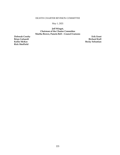#### EIGHTH CHARTER REVISION COMMITTEE

May 1, 2021

**Jeff Winget, Chairman of the Charter Committee Martha Brown, Pamela Bell – Council Liaisons**

**Rick Sheffield**

**Deborah Crosby Erik Ernst Brian Galuardi Richard Kull Kellie McKee Becky Sebastian**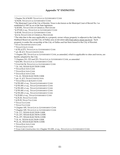The take-line is the area applicable to a property owner whose property is adjacent to the Lake Ray Hubbard Reservoir and the City of Dallas area at elevation  $435.5$  feet above mean sea level. Such property is under the ownership of the City of Dallas and has been leased to the City of Rowlett.

TEXAS TRANSPORTATION CODE

TEXAS UTILITY CODE

§ 252; § 273, TEXAS LOCAL GOVERNMENT CODE

art. III, § 5, TEXAS CONSTITUTION

 Chapter 252, TEXAS LOCAL GOVERNMENT CODE, as amended, which is applicable to cities and towns, are hereby adopted by the City.

Chapters 211, 212 and 213, TEXAS LOCAL GOVERNMENT CODE, as amended

§ 41.001, TEXAS LOCAL GOVERNMENT CODE

CHAPTER 54, TEXAS LOCAL GOVERNMENT CODE

Ch. 143, TEXAS ELECTION CODE

TEXAS ELECTION CODE

TEXAS ELECTION CODE

TEXAS ELECTION CODE

Ch. 41, TEXAS ELECTION CODE

art. 11, § 5, TEXAS CONSTITUTION

TEXAS HEALTH & SAFETY CODE

§ 551.001 *et seq.,* TEXAS GOVERNMENT CODE

§ 551.001 *et seq.*, TEXAS GOVERNMENT CODE

§ 551.001 *et seq.,* TEXAS GOVERNMENT CODE

§ 551.001 *et seq.,* TEXAS GOVERNMENT CODE

§ 551.001 *et seq.,* TEXAS GOVERNMENT CODE

§ 25.001 *et seq.*, TEXAS GOVERNMENT CODE

§ 25.25, TEXAS TAX CODE

§ 25.25, TEXAS TAX CODE

TEXAS TAX CODE

TEXAS TAX CODE

Chapter 105, TEXAS LOCAL GOVERNMENT CODE

Chapter 105, TEXAS LOCAL GOVERNMENT CODE

Ch. 277, TEXAS ELECTION CODE

Ch. 277, TEXAS ELECTION CODE

Ch. 277, TEXAS ELECTION CODE

Ch. 41, TEXAS ELECTION CODE

Ch. 41, TEXAS ELECTION CODE

TEXAS ELECTION CODE

TEXAS UTILITY CODE

*Texas Code Construction Act*, Chapter 311.001, *et seq*., TEXAS LOCAL GOVERNMENT CODE

Chapter 54, § 54.001 TEXAS LOCAL GOVERNMENT CODE

§ 54.00, TEXAS LOCAL GOVERNMENT CODE

 The Municipal Court of the City of Rowlett, Texas is also known as the Municipal Court of Record No. I as established in 1997 by act of the State legislature.

§ 45.001, TEXAS CODE OF CRIMINAL PROCEDURE

§ 273.00 *et seq.*, TEXAS LOCAL GOVERNMENT CODE

§ 45.00, TEXAS LOCAL GOVERNMENT CODE

§ 4.14, TEXAS CODE OF CRIMINAL PROCEDURE